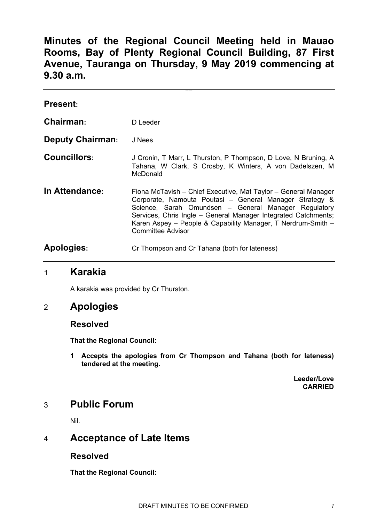**Minutes of the Regional Council Meeting held in Mauao Rooms, Bay of Plenty Regional Council Building, 87 First Avenue, Tauranga on Thursday, 9 May 2019 commencing at 9.30 a.m.**

| <b>Present:</b>         |                                                                                                                                                                                                                                                                                                                                                 |
|-------------------------|-------------------------------------------------------------------------------------------------------------------------------------------------------------------------------------------------------------------------------------------------------------------------------------------------------------------------------------------------|
| Chairman:               | D Leeder                                                                                                                                                                                                                                                                                                                                        |
| <b>Deputy Chairman:</b> | J Nees                                                                                                                                                                                                                                                                                                                                          |
| <b>Councillors:</b>     | J Cronin, T Marr, L Thurston, P Thompson, D Love, N Bruning, A<br>Tahana, W Clark, S Crosby, K Winters, A von Dadelszen, M<br>McDonald                                                                                                                                                                                                          |
| In Attendance:          | Fiona McTavish - Chief Executive, Mat Taylor - General Manager<br>Corporate, Namouta Poutasi - General Manager Strategy &<br>Science, Sarah Omundsen - General Manager Regulatory<br>Services, Chris Ingle - General Manager Integrated Catchments;<br>Karen Aspey - People & Capability Manager, T Nerdrum-Smith -<br><b>Committee Advisor</b> |
| <b>Apologies:</b>       | Cr Thompson and Cr Tahana (both for lateness)                                                                                                                                                                                                                                                                                                   |

# 1 **Karakia**

A karakia was provided by Cr Thurston.

# 2 **Apologies**

### **Resolved**

**That the Regional Council:**

**1 Accepts the apologies from Cr Thompson and Tahana (both for lateness) tendered at the meeting.**

> **Leeder/Love CARRIED**

# 3 **Public Forum**

Nil.

# 4 **Acceptance of Late Items**

### **Resolved**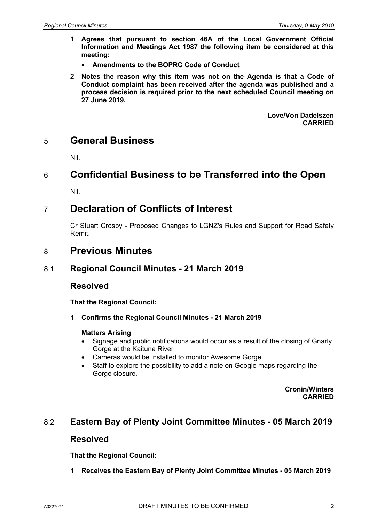- **1 Agrees that pursuant to section 46A of the Local Government Official Information and Meetings Act 1987 the following item be considered at this meeting:**
	- **Amendments to the BOPRC Code of Conduct**
- **2 Notes the reason why this item was not on the Agenda is that a Code of Conduct complaint has been received after the agenda was published and a process decision is required prior to the next scheduled Council meeting on 27 June 2019.**

**Love/Von Dadelszen CARRIED**

# 5 **General Business**

Nil.

# 6 **Confidential Business to be Transferred into the Open**

Nil.

# 7 **Declaration of Conflicts of Interest**

Cr Stuart Crosby - Proposed Changes to LGNZ's Rules and Support for Road Safety Remit.

# 8 **Previous Minutes**

# 8.1 **Regional Council Minutes - 21 March 2019**

### **Resolved**

**That the Regional Council:**

**1 Confirms the Regional Council Minutes - 21 March 2019**

### **Matters Arising**

- Signage and public notifications would occur as a result of the closing of Gnarly Gorge at the Kaituna River
- Cameras would be installed to monitor Awesome Gorge
- Staff to explore the possibility to add a note on Google maps regarding the Gorge closure.

**Cronin/Winters CARRIED**

# 8.2 **Eastern Bay of Plenty Joint Committee Minutes - 05 March 2019**

### **Resolved**

**That the Regional Council:**

**1 Receives the Eastern Bay of Plenty Joint Committee Minutes - 05 March 2019**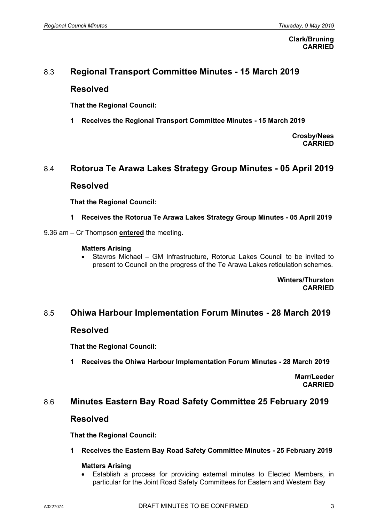#### **Clark/Bruning CARRIED**

## 8.3 **Regional Transport Committee Minutes - 15 March 2019**

### **Resolved**

**That the Regional Council:**

**1 Receives the Regional Transport Committee Minutes - 15 March 2019**

**Crosby/Nees CARRIED**

### 8.4 **Rotorua Te Arawa Lakes Strategy Group Minutes - 05 April 2019**

### **Resolved**

**That the Regional Council:**

- **1 Receives the Rotorua Te Arawa Lakes Strategy Group Minutes - 05 April 2019**
- 9.36 am Cr Thompson **entered** the meeting.

#### **Matters Arising**

• Stavros Michael – GM Infrastructure, Rotorua Lakes Council to be invited to present to Council on the progress of the Te Arawa Lakes reticulation schemes.

> **Winters/Thurston CARRIED**

### 8.5 **Ohiwa Harbour Implementation Forum Minutes - 28 March 2019**

### **Resolved**

**That the Regional Council:**

**1 Receives the Ohiwa Harbour Implementation Forum Minutes - 28 March 2019**

**Marr/Leeder CARRIED**

### 8.6 **Minutes Eastern Bay Road Safety Committee 25 February 2019**

### **Resolved**

**That the Regional Council:**

#### **1 Receives the Eastern Bay Road Safety Committee Minutes - 25 February 2019**

#### **Matters Arising**

• Establish a process for providing external minutes to Elected Members, in particular for the Joint Road Safety Committees for Eastern and Western Bay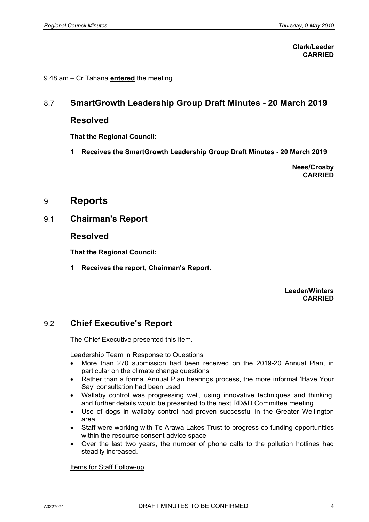**Clark/Leeder CARRIED**

9.48 am – Cr Tahana **entered** the meeting.

### 8.7 **SmartGrowth Leadership Group Draft Minutes - 20 March 2019**

### **Resolved**

**That the Regional Council:**

**1 Receives the SmartGrowth Leadership Group Draft Minutes - 20 March 2019**

**Nees/Crosby CARRIED**

# 9 **Reports**

9.1 **Chairman's Report**

### **Resolved**

**That the Regional Council:**

**1 Receives the report, Chairman's Report.**

**Leeder/Winters CARRIED**

# 9.2 **Chief Executive's Report**

The Chief Executive presented this item.

Leadership Team in Response to Questions

- More than 270 submission had been received on the 2019-20 Annual Plan, in particular on the climate change questions
- Rather than a formal Annual Plan hearings process, the more informal 'Have Your Say' consultation had been used
- Wallaby control was progressing well, using innovative techniques and thinking, and further details would be presented to the next RD&D Committee meeting
- Use of dogs in wallaby control had proven successful in the Greater Wellington area
- Staff were working with Te Arawa Lakes Trust to progress co-funding opportunities within the resource consent advice space
- Over the last two years, the number of phone calls to the pollution hotlines had steadily increased.

Items for Staff Follow-up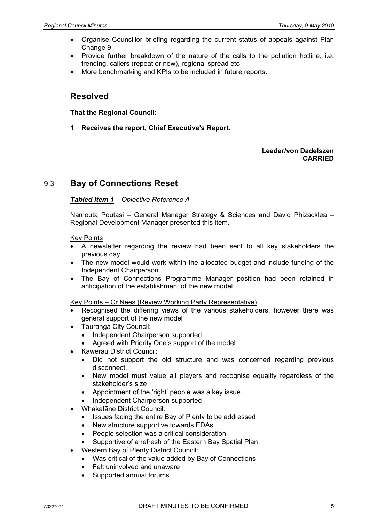- Organise Councillor briefing regarding the current status of appeals against Plan Change 9
- Provide further breakdown of the nature of the calls to the pollution hotline, i.e. trending, callers (repeat or new), regional spread etc
- More benchmarking and KPIs to be included in future reports.

# **Resolved**

**That the Regional Council:**

**1 Receives the report, Chief Executive's Report.**

#### **Leeder/von Dadelszen CARRIED**

# 9.3 **Bay of Connections Reset**

#### *Tabled item 1 – Objective Reference A*

Namouta Poutasi – General Manager Strategy & Sciences and David Phizacklea – Regional Development Manager presented this item.

#### Key Points

- A newsletter regarding the review had been sent to all key stakeholders the previous day
- The new model would work within the allocated budget and include funding of the Independent Chairperson
- The Bay of Connections Programme Manager position had been retained in anticipation of the establishment of the new model.

Key Points – Cr Nees (Review Working Party Representative)

- Recognised the differing views of the various stakeholders, however there was general support of the new model
- Tauranga City Council:
	- Independent Chairperson supported.
	- Agreed with Priority One's support of the model
- Kawerau District Council:
	- Did not support the old structure and was concerned regarding previous disconnect.
	- New model must value all players and recognise equality regardless of the stakeholder's size
	- Appointment of the 'right' people was a key issue
	- Independent Chairperson supported
- Whakatāne District Council:
	- Issues facing the entire Bay of Plenty to be addressed
	- New structure supportive towards EDAs
	- People selection was a critical consideration
	- Supportive of a refresh of the Eastern Bay Spatial Plan
- Western Bay of Plenty District Council:
	- Was critical of the value added by Bay of Connections
	- Felt uninvolved and unaware
	- Supported annual forums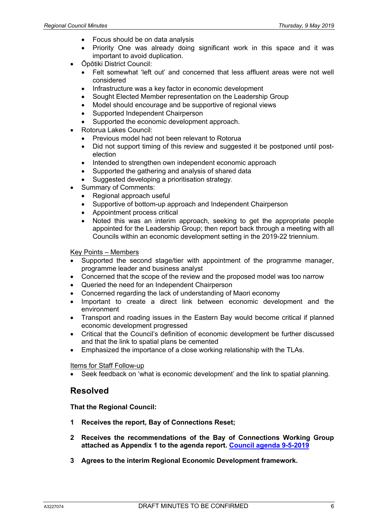- Focus should be on data analysis
- Priority One was already doing significant work in this space and it was important to avoid duplication.
- Ōpōtiki District Council:
	- Felt somewhat 'left out' and concerned that less affluent areas were not well considered
	- Infrastructure was a key factor in economic development
	- Sought Elected Member representation on the Leadership Group
	- Model should encourage and be supportive of regional views
	- Supported Independent Chairperson
	- Supported the economic development approach.
- Rotorua Lakes Council:
	- Previous model had not been relevant to Rotorua
	- Did not support timing of this review and suggested it be postponed until postelection
	- Intended to strengthen own independent economic approach
	- Supported the gathering and analysis of shared data
	- Suggested developing a prioritisation strategy.
- Summary of Comments:
	- Regional approach useful
	- Supportive of bottom-up approach and Independent Chairperson
	- Appointment process critical
	- Noted this was an interim approach, seeking to get the appropriate people appointed for the Leadership Group; then report back through a meeting with all Councils within an economic development setting in the 2019-22 triennium.

Key Points – Members

- Supported the second stage/tier with appointment of the programme manager, programme leader and business analyst
- Concerned that the scope of the review and the proposed model was too narrow
- Queried the need for an Independent Chairperson
- Concerned regarding the lack of understanding of Maori economy
- Important to create a direct link between economic development and the environment
- Transport and roading issues in the Eastern Bay would become critical if planned economic development progressed
- Critical that the Council's definition of economic development be further discussed and that the link to spatial plans be cemented
- Emphasized the importance of a close working relationship with the TLAs.

Items for Staff Follow-up

• Seek feedback on 'what is economic development' and the link to spatial planning.

### **Resolved**

- **1 Receives the report, Bay of Connections Reset;**
- **2 Receives the recommendations of the Bay of Connections Working Group attached as Appendix 1 to the agenda report. Council agenda 9-5-2019**
- **3 Agrees to the interim Regional Economic Development framework.**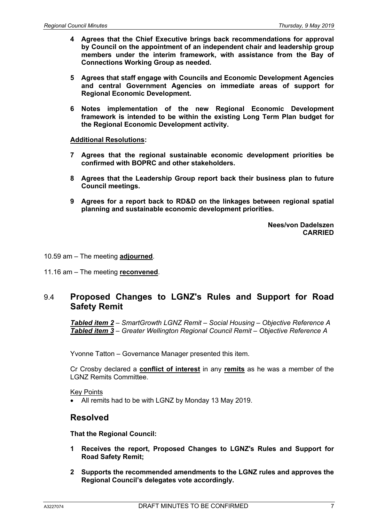- **4 Agrees that the Chief Executive brings back recommendations for approval by Council on the appointment of an independent chair and leadership group members under the interim framework, with assistance from the Bay of Connections Working Group as needed.**
- **5 Agrees that staff engage with Councils and Economic Development Agencies and central Government Agencies on immediate areas of support for Regional Economic Development.**
- **6 Notes implementation of the new Regional Economic Development framework is intended to be within the existing Long Term Plan budget for the Regional Economic Development activity.**

#### **Additional Resolutions:**

- **7 Agrees that the regional sustainable economic development priorities be confirmed with BOPRC and other stakeholders.**
- **8 Agrees that the Leadership Group report back their business plan to future Council meetings.**
- **9 Agrees for a report back to RD&D on the linkages between regional spatial planning and sustainable economic development priorities.**

**Nees/von Dadelszen CARRIED**

#### 10.59 am – The meeting **adjourned**.

11.16 am – The meeting **reconvened**.

# 9.4 **Proposed Changes to LGNZ's Rules and Support for Road Safety Remit**

*Tabled item 2 – SmartGrowth LGNZ Remit – Social Housing – Objective Reference A Tabled item 3 – Greater Wellington Regional Council Remit – Objective Reference A*

Yvonne Tatton – Governance Manager presented this item.

Cr Crosby declared a **conflict of interest** in any **remits** as he was a member of the LGNZ Remits Committee.

Key Points

• All remits had to be with LGNZ by Monday 13 May 2019.

### **Resolved**

- **1 Receives the report, Proposed Changes to LGNZ's Rules and Support for Road Safety Remit;**
- **2 Supports the recommended amendments to the LGNZ rules and approves the Regional Council's delegates vote accordingly.**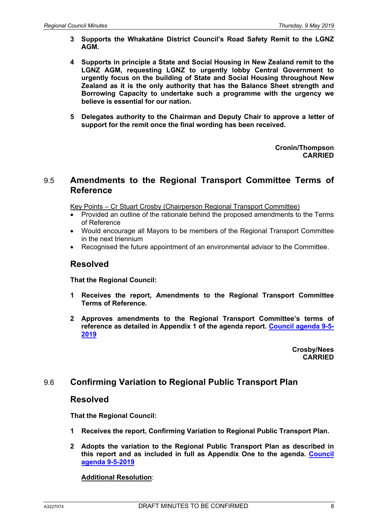- **3 Supports the Whakatāne District Council's Road Safety Remit to the LGNZ AGM.**
- **4 Supports in principle a State and Social Housing in New Zealand remit to the LGNZ AGM, requesting LGNZ to urgently lobby Central Government to urgently focus on the building of State and Social Housing throughout New Zealand as it is the only authority that has the Balance Sheet strength and Borrowing Capacity to undertake such a programme with the urgency we believe is essential for our nation.**
- **5 Delegates authority to the Chairman and Deputy Chair to approve a letter of support for the remit once the final wording has been received.**

**Cronin/Thompson CARRIED**

### 9.5 **Amendments to the Regional Transport Committee Terms of Reference**

Key Points – Cr Stuart Crosby (Chairperson Regional Transport Committee)

- Provided an outline of the rationale behind the proposed amendments to the Terms of Reference
- Would encourage all Mayors to be members of the Regional Transport Committee in the next triennium
- Recognised the future appointment of an environmental advisor to the Committee.

# **Resolved**

**That the Regional Council:**

- **1 Receives the report, Amendments to the Regional Transport Committee Terms of Reference.**
- **2 Approves amendments to the Regional Transport Committee's terms of reference as detailed in Appendix 1 of the agenda report. Council agenda 9-5- 2019**

**Crosby/Nees CARRIED**

# 9.6 **Confirming Variation to Regional Public Transport Plan**

### **Resolved**

**That the Regional Council:**

- **1 Receives the report, Confirming Variation to Regional Public Transport Plan.**
- **2 Adopts the variation to the Regional Public Transport Plan as described in this report and as included in full as Appendix One to the agenda. Council agenda 9-5-2019**

### **Additional Resolution**: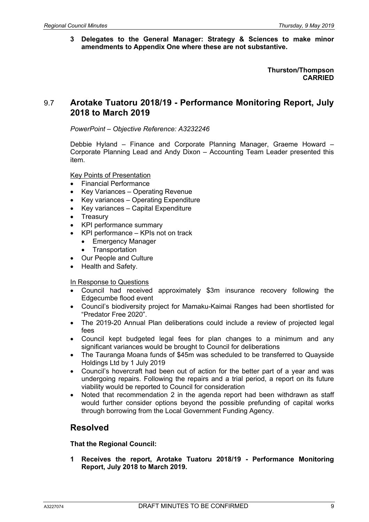**3 Delegates to the General Manager: Strategy & Sciences to make minor amendments to Appendix One where these are not substantive.**

> **Thurston/Thompson CARRIED**

# 9.7 **Arotake Tuatoru 2018/19 - Performance Monitoring Report, July 2018 to March 2019**

*PowerPoint – Objective Reference: A3232246*

Debbie Hyland – Finance and Corporate Planning Manager, Graeme Howard – Corporate Planning Lead and Andy Dixon – Accounting Team Leader presented this item.

Key Points of Presentation

- Financial Performance
- Key Variances Operating Revenue
- Key variances Operating Expenditure
- Key variances Capital Expenditure
- **Treasury**
- KPI performance summary
- KPI performance KPIs not on track
	- Emergency Manager
	- **Transportation**
- Our People and Culture
- Health and Safety.

#### In Response to Questions

- Council had received approximately \$3m insurance recovery following the Edgecumbe flood event
- Council's biodiversity project for Mamaku-Kaimai Ranges had been shortlisted for "Predator Free 2020".
- The 2019-20 Annual Plan deliberations could include a review of projected legal fees
- Council kept budgeted legal fees for plan changes to a minimum and any significant variances would be brought to Council for deliberations
- The Tauranga Moana funds of \$45m was scheduled to be transferred to Quayside Holdings Ltd by 1 July 2019
- Council's hovercraft had been out of action for the better part of a year and was undergoing repairs. Following the repairs and a trial period, a report on its future viability would be reported to Council for consideration
- Noted that recommendation 2 in the agenda report had been withdrawn as staff would further consider options beyond the possible prefunding of capital works through borrowing from the Local Government Funding Agency.

# **Resolved**

**That the Regional Council:**

**1 Receives the report, Arotake Tuatoru 2018/19 - Performance Monitoring Report, July 2018 to March 2019.**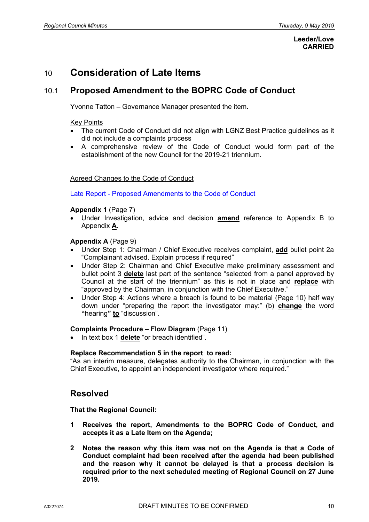#### **Leeder/Love CARRIED**

# 10 **Consideration of Late Items**

# 10.1 **Proposed Amendment to the BOPRC Code of Conduct**

Yvonne Tatton – Governance Manager presented the item.

#### Key Points

- The current Code of Conduct did not align with LGNZ Best Practice guidelines as it did not include a complaints process
- A comprehensive review of the Code of Conduct would form part of the establishment of the new Council for the 2019-21 triennium.

#### Agreed Changes to the Code of Conduct

Late Report - Proposed Amendments to the Code of Conduct

#### **Appendix 1** (Page 7)

• Under Investigation, advice and decision **amend** reference to Appendix B to Appendix **A**.

#### **Appendix A** (Page 9)

- Under Step 1: Chairman / Chief Executive receives complaint, **add** bullet point 2a "Complainant advised. Explain process if required"
- Under Step 2: Chairman and Chief Executive make preliminary assessment and bullet point 3 **delete** last part of the sentence "selected from a panel approved by Council at the start of the triennium" as this is not in place and **replace** with "approved by the Chairman, in conjunction with the Chief Executive."
- Under Step 4: Actions where a breach is found to be material (Page 10) half way down under "preparing the report the investigator may:" (b) **change** the word **"**hearing**" to** "discussion".

#### **Complaints Procedure – Flow Diagram** (Page 11)

• In text box 1 **delete** "or breach identified".

#### **Replace Recommendation 5 in the report to read:**

"As an interim measure, delegates authority to the Chairman, in conjunction with the Chief Executive, to appoint an independent investigator where required."

### **Resolved**

- **1 Receives the report, Amendments to the BOPRC Code of Conduct, and accepts it as a Late Item on the Agenda;**
- **2 Notes the reason why this item was not on the Agenda is that a Code of Conduct complaint had been received after the agenda had been published and the reason why it cannot be delayed is that a process decision is required prior to the next scheduled meeting of Regional Council on 27 June 2019.**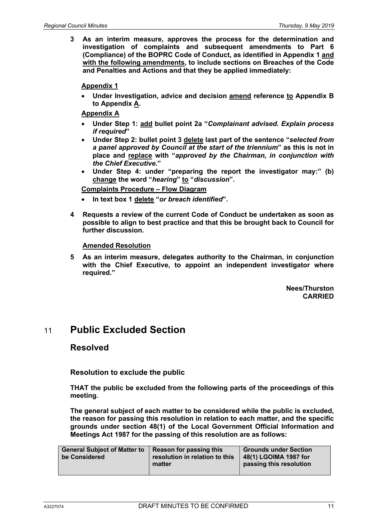**3 As an interim measure, approves the process for the determination and investigation of complaints and subsequent amendments to Part 6 (Compliance) of the BOPRC Code of Conduct, as identified in Appendix 1 and with the following amendments, to include sections on Breaches of the Code and Penalties and Actions and that they be applied immediately:**

**Appendix 1**

• **Under Investigation, advice and decision amend reference to Appendix B to Appendix A.** 

**Appendix A** 

- **Under Step 1: add bullet point 2a "***Complainant advised. Explain process if required***"**
- **Under Step 2: bullet point 3 delete last part of the sentence "***selected from a panel approved by Council at the start of the triennium***" as this is not in place and replace with "***approved by the Chairman, in conjunction with the Chief Executive***."**
- **Under Step 4: under "preparing the report the investigator may:" (b) change the word "***hearing***" to "***discussion***".**

**Complaints Procedure – Flow Diagram** 

- **In text box 1 delete "***or breach identified***".**
- **4 Requests a review of the current Code of Conduct be undertaken as soon as possible to align to best practice and that this be brought back to Council for further discussion.**

**Amended Resolution** 

**5 As an interim measure, delegates authority to the Chairman, in conjunction with the Chief Executive, to appoint an independent investigator where required."**

> **Nees/Thurston CARRIED**

# 11 **Public Excluded Section**

### **Resolved**

**Resolution to exclude the public**

**THAT the public be excluded from the following parts of the proceedings of this meeting.**

**The general subject of each matter to be considered while the public is excluded, the reason for passing this resolution in relation to each matter, and the specific grounds under section 48(1) of the Local Government Official Information and Meetings Act 1987 for the passing of this resolution are as follows:**

| <b>General Subject of Matter to</b><br>be Considered | Reason for passing this<br>resolution in relation to this<br>matter | <b>Grounds under Section</b><br>48(1) LGOIMA 1987 for<br>passing this resolution |
|------------------------------------------------------|---------------------------------------------------------------------|----------------------------------------------------------------------------------|
|                                                      |                                                                     |                                                                                  |